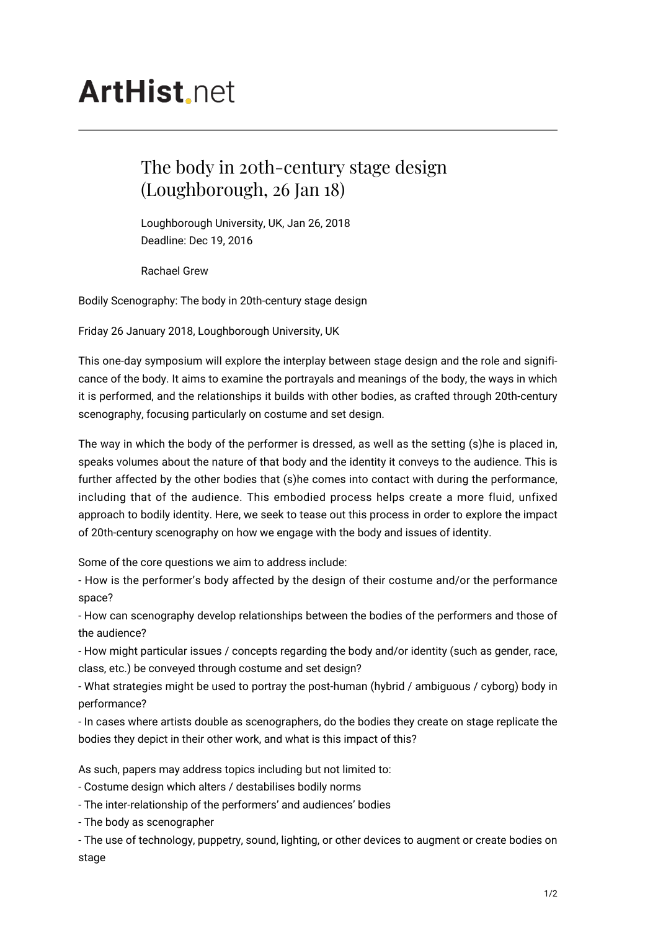## **ArtHist** net

## The body in 20th-century stage design (Loughborough, 26 Jan 18)

Loughborough University, UK, Jan 26, 2018 Deadline: Dec 19, 2016

Rachael Grew

Bodily Scenography: The body in 20th-century stage design

Friday 26 January 2018, Loughborough University, UK

This one-day symposium will explore the interplay between stage design and the role and significance of the body. It aims to examine the portrayals and meanings of the body, the ways in which it is performed, and the relationships it builds with other bodies, as crafted through 20th-century scenography, focusing particularly on costume and set design.

The way in which the body of the performer is dressed, as well as the setting (s)he is placed in, speaks volumes about the nature of that body and the identity it conveys to the audience. This is further affected by the other bodies that (s)he comes into contact with during the performance, including that of the audience. This embodied process helps create a more fluid, unfixed approach to bodily identity. Here, we seek to tease out this process in order to explore the impact of 20th-century scenography on how we engage with the body and issues of identity.

Some of the core questions we aim to address include:

- How is the performer's body affected by the design of their costume and/or the performance space?

- How can scenography develop relationships between the bodies of the performers and those of the audience?

- How might particular issues / concepts regarding the body and/or identity (such as gender, race, class, etc.) be conveyed through costume and set design?

- What strategies might be used to portray the post-human (hybrid / ambiguous / cyborg) body in performance?

- In cases where artists double as scenographers, do the bodies they create on stage replicate the bodies they depict in their other work, and what is this impact of this?

As such, papers may address topics including but not limited to:

- Costume design which alters / destabilises bodily norms

- The inter-relationship of the performers' and audiences' bodies

- The body as scenographer

- The use of technology, puppetry, sound, lighting, or other devices to augment or create bodies on stage